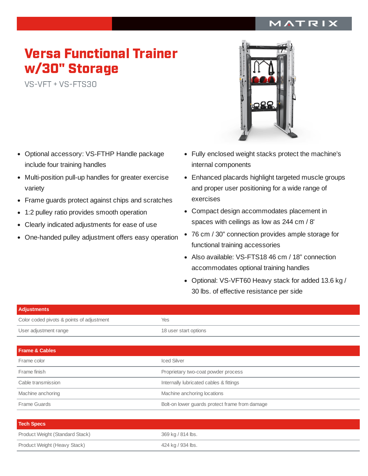## MATRIX

## Versa Functional Trainer w/30" Storage

VS-VFT <sup>+</sup> VS-FTS30

- Optional accessory: VS-FTHP Handle package  $\bullet$ include four training handles
- Multi-position pull-up handles for greater exercise variety
- Frame guards protect against chips and scratches  $\bullet$
- 1:2 pulley ratio provides smooth operation  $\bullet$
- Clearly indicated adjustments for ease of use  $\bullet$
- One-handed pulley adjustment offers easy operation  $\bullet$



- Fully enclosed weight stacks protect the machine's internal components
- Enhanced placards highlight targeted muscle groups and proper user positioning for a wide range of exercises
- Compact design accommodates placement in spaces with ceilings as low as 244 cm / 8'
- 76 cm / 30" connection provides ample storage for functional training accessories
- Also available: VS-FTS18 46 cm / 18" connection accommodates optional training handles
- Optional: VS-VFT60 Heavy stack for added 13.6 kg / 30 lbs. of effective resistance per side

| <b>Adjustments</b>                        |                                                |
|-------------------------------------------|------------------------------------------------|
| Color coded pivots & points of adjustment | Yes                                            |
| User adjustment range                     | 18 user start options                          |
|                                           |                                                |
| <b>Frame &amp; Cables</b>                 |                                                |
| Frame color                               | <b>Iced Silver</b>                             |
| Frame finish                              | Proprietary two-coat powder process            |
| Cable transmission                        | Internally lubricated cables & fittings        |
| Machine anchoring                         | Machine anchoring locations                    |
| Frame Guards                              | Bolt-on lower guards protect frame from damage |
|                                           |                                                |
| <b>Tool Choon</b>                         |                                                |

| <b>Tech Specs</b>               |                   |
|---------------------------------|-------------------|
| Product Weight (Standard Stack) | 369 kg / 814 lbs. |
| Product Weight (Heavy Stack)    | 424 kg / 934 lbs. |